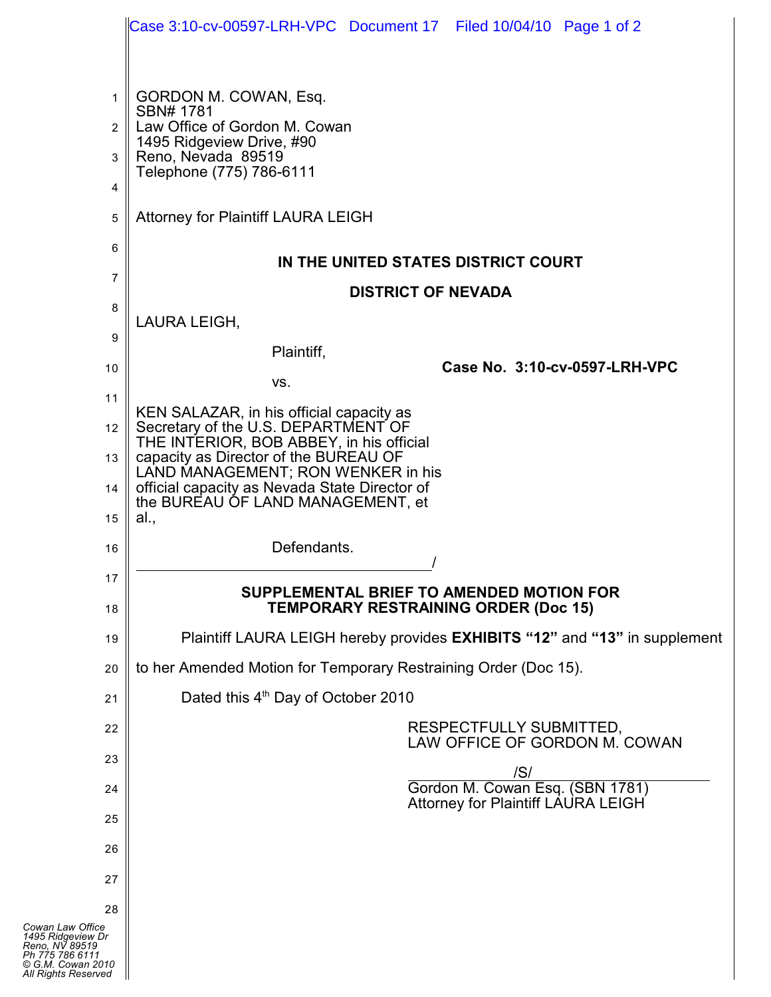|                                                                                                    | Case 3:10-cv-00597-LRH-VPC Document 17 Filed 10/04/10 Page 1 of 2                                                                                                                        |
|----------------------------------------------------------------------------------------------------|------------------------------------------------------------------------------------------------------------------------------------------------------------------------------------------|
| 1<br>$\overline{2}$<br>3<br>4<br>5                                                                 | GORDON M. COWAN, Esq.<br>SBN# 1781<br>Law Office of Gordon M. Cowan<br>1495 Ridgeview Drive, #90<br>Reno, Nevada 89519<br>Telephone (775) 786-6111<br>Attorney for Plaintiff LAURA LEIGH |
| 6                                                                                                  | IN THE UNITED STATES DISTRICT COURT                                                                                                                                                      |
| 7                                                                                                  | <b>DISTRICT OF NEVADA</b>                                                                                                                                                                |
| 8                                                                                                  | LAURA LEIGH,                                                                                                                                                                             |
| 9                                                                                                  | Plaintiff,                                                                                                                                                                               |
| 10                                                                                                 | Case No. 3:10-cv-0597-LRH-VPC<br>VS.                                                                                                                                                     |
| 11                                                                                                 | KEN SALAZAR, in his official capacity as                                                                                                                                                 |
| $12 \parallel$                                                                                     | Secretary of the U.S. DEPARTMENT OF<br>THE INTERIOR, BOB ABBEY, in his official                                                                                                          |
| $13 \parallel$                                                                                     | capacity as Director of the BUREAU OF<br>LAND MANAGEMENT; RON WENKER in his                                                                                                              |
| 14 $\parallel$                                                                                     | official capacity as Nevada State Director of<br>the BUREAU OF LAND MANAGEMENT, et<br>al.,                                                                                               |
| 15<br>16                                                                                           | Defendants.                                                                                                                                                                              |
| 17                                                                                                 |                                                                                                                                                                                          |
| 18                                                                                                 | SUPPLEMENTAL BRIEF TO AMENDED MOTION FOR<br><b>TEMPORARY RESTRAINING ORDER (Doc 15)</b>                                                                                                  |
| 19                                                                                                 | Plaintiff LAURA LEIGH hereby provides <b>EXHIBITS</b> "12" and "13" in supplement                                                                                                        |
| 20                                                                                                 | to her Amended Motion for Temporary Restraining Order (Doc 15).                                                                                                                          |
| 21                                                                                                 | Dated this 4 <sup>th</sup> Day of October 2010                                                                                                                                           |
| 22                                                                                                 | RESPECTFULLY SUBMITTED,<br>LAW OFFICE OF GORDON M. COWAN                                                                                                                                 |
| 23                                                                                                 | S                                                                                                                                                                                        |
| 24                                                                                                 | Gordon M. Cowan Esq. (SBN 1781)<br><b>Attorney for Plaintiff LAURA LEIGH</b>                                                                                                             |
| 25                                                                                                 |                                                                                                                                                                                          |
| 26                                                                                                 |                                                                                                                                                                                          |
| 27                                                                                                 |                                                                                                                                                                                          |
| 28<br>Cowan Law Office                                                                             |                                                                                                                                                                                          |
| 1495 Ridgeview Dr<br>Reno. NV 89519<br>Ph 775 786 6111<br>© G.M. Cowan 2010<br>All Rights Reserved |                                                                                                                                                                                          |